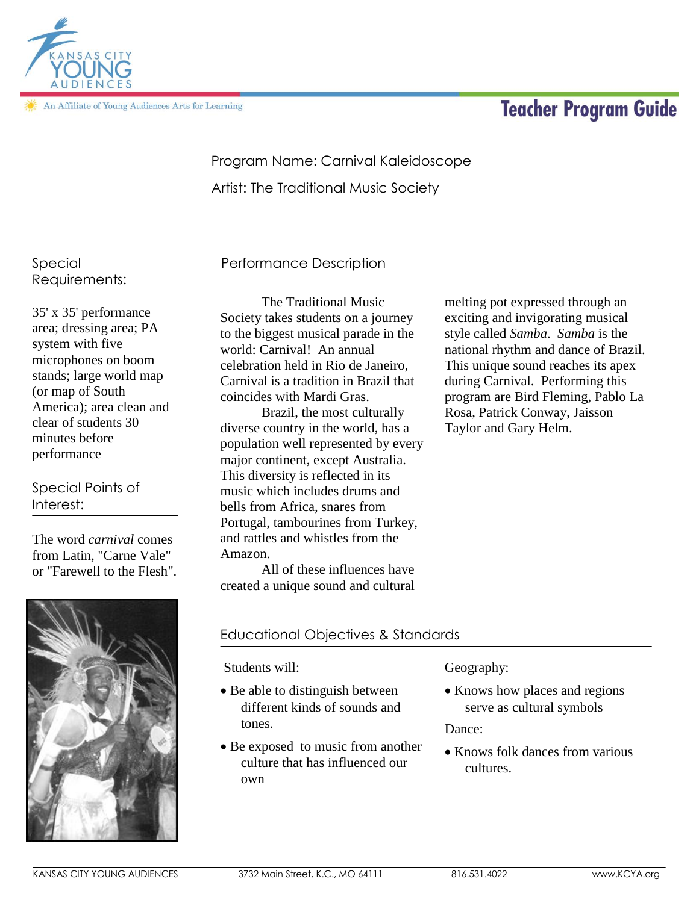

An Affiliate of Young Audiences Arts for Learning

# **Teacher Program Guide**

## Program Name: Carnival Kaleidoscope

Artist: The Traditional Music Society

Special Requirements:

35' x 35' performance area; dressing area; PA system with five microphones on boom stands; large world map (or map of South America); area clean and clear of students 30 minutes before performance

## Special Points of Interest:

The word *carnival* comes from Latin, "Carne Vale" or "Farewell to the Flesh".



# Performance Description

The Traditional Music Society takes students on a journey to the biggest musical parade in the world: Carnival! An annual celebration held in Rio de Janeiro, Carnival is a tradition in Brazil that coincides with Mardi Gras.

Brazil, the most culturally diverse country in the world, has a population well represented by every major continent, except Australia. This diversity is reflected in its music which includes drums and bells from Africa, snares from Portugal, tambourines from Turkey, and rattles and whistles from the Amazon.

All of these influences have created a unique sound and cultural

## Educational Objectives & Standards

Students will:

- Be able to distinguish between different kinds of sounds and tones.
- Be exposed to music from another culture that has influenced our own

#### Geography:

• Knows how places and regions serve as cultural symbols

melting pot expressed through an exciting and invigorating musical style called *Samba*. *Samba* is the national rhythm and dance of Brazil. This unique sound reaches its apex during Carnival. Performing this program are Bird Fleming, Pablo La

Rosa, Patrick Conway, Jaisson

Taylor and Gary Helm.

Dance:

• Knows folk dances from various cultures.